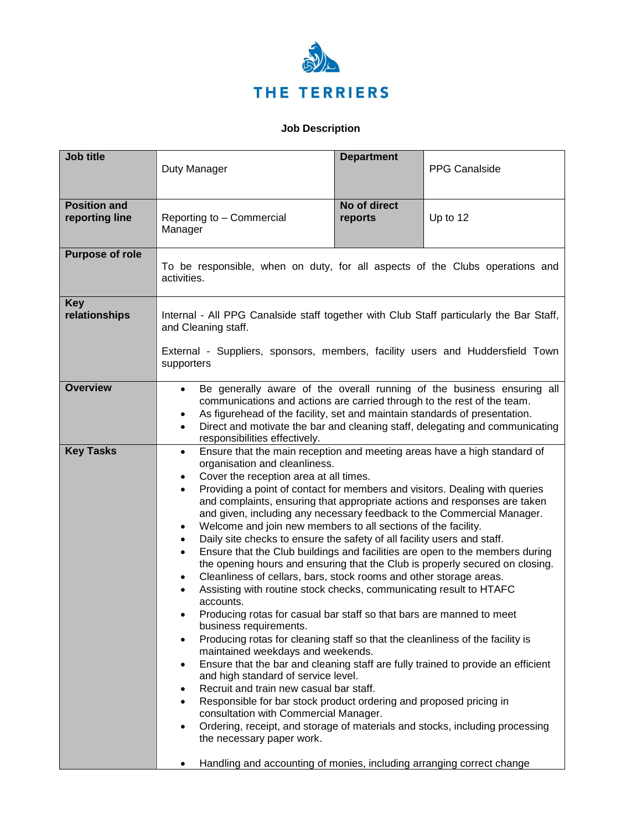

## **Job Description**

| <b>Job title</b>                      | Duty Manager                                                                                                                                                                                                                                                                                                                                                                                                                                                                                                                                                                                                                                                                                                                                                                                                                                                                                                                                                                                                                                                                                                                                                                                                                                                                                                                                                                                                                                                                                                                                                                                                                                                 | <b>Department</b>       | <b>PPG Canalside</b> |
|---------------------------------------|--------------------------------------------------------------------------------------------------------------------------------------------------------------------------------------------------------------------------------------------------------------------------------------------------------------------------------------------------------------------------------------------------------------------------------------------------------------------------------------------------------------------------------------------------------------------------------------------------------------------------------------------------------------------------------------------------------------------------------------------------------------------------------------------------------------------------------------------------------------------------------------------------------------------------------------------------------------------------------------------------------------------------------------------------------------------------------------------------------------------------------------------------------------------------------------------------------------------------------------------------------------------------------------------------------------------------------------------------------------------------------------------------------------------------------------------------------------------------------------------------------------------------------------------------------------------------------------------------------------------------------------------------------------|-------------------------|----------------------|
| <b>Position and</b><br>reporting line | Reporting to - Commercial<br>Manager                                                                                                                                                                                                                                                                                                                                                                                                                                                                                                                                                                                                                                                                                                                                                                                                                                                                                                                                                                                                                                                                                                                                                                                                                                                                                                                                                                                                                                                                                                                                                                                                                         | No of direct<br>reports | Up to 12             |
| <b>Purpose of role</b>                | To be responsible, when on duty, for all aspects of the Clubs operations and<br>activities.                                                                                                                                                                                                                                                                                                                                                                                                                                                                                                                                                                                                                                                                                                                                                                                                                                                                                                                                                                                                                                                                                                                                                                                                                                                                                                                                                                                                                                                                                                                                                                  |                         |                      |
| <b>Key</b><br>relationships           | Internal - All PPG Canalside staff together with Club Staff particularly the Bar Staff,<br>and Cleaning staff.<br>External - Suppliers, sponsors, members, facility users and Huddersfield Town<br>supporters                                                                                                                                                                                                                                                                                                                                                                                                                                                                                                                                                                                                                                                                                                                                                                                                                                                                                                                                                                                                                                                                                                                                                                                                                                                                                                                                                                                                                                                |                         |                      |
| <b>Overview</b>                       | Be generally aware of the overall running of the business ensuring all<br>$\bullet$<br>communications and actions are carried through to the rest of the team.<br>As figurehead of the facility, set and maintain standards of presentation.<br>٠<br>Direct and motivate the bar and cleaning staff, delegating and communicating<br>$\bullet$<br>responsibilities effectively.                                                                                                                                                                                                                                                                                                                                                                                                                                                                                                                                                                                                                                                                                                                                                                                                                                                                                                                                                                                                                                                                                                                                                                                                                                                                              |                         |                      |
| <b>Key Tasks</b>                      | Ensure that the main reception and meeting areas have a high standard of<br>$\bullet$<br>organisation and cleanliness.<br>Cover the reception area at all times.<br>$\bullet$<br>Providing a point of contact for members and visitors. Dealing with queries<br>$\bullet$<br>and complaints, ensuring that appropriate actions and responses are taken<br>and given, including any necessary feedback to the Commercial Manager.<br>Welcome and join new members to all sections of the facility.<br>$\bullet$<br>Daily site checks to ensure the safety of all facility users and staff.<br>$\bullet$<br>Ensure that the Club buildings and facilities are open to the members during<br>$\bullet$<br>the opening hours and ensuring that the Club is properly secured on closing.<br>Cleanliness of cellars, bars, stock rooms and other storage areas.<br>$\bullet$<br>Assisting with routine stock checks, communicating result to HTAFC<br>accounts.<br>Producing rotas for casual bar staff so that bars are manned to meet<br>business requirements.<br>Producing rotas for cleaning staff so that the cleanliness of the facility is<br>maintained weekdays and weekends.<br>Ensure that the bar and cleaning staff are fully trained to provide an efficient<br>and high standard of service level.<br>Recruit and train new casual bar staff.<br>Responsible for bar stock product ordering and proposed pricing in<br>consultation with Commercial Manager.<br>Ordering, receipt, and storage of materials and stocks, including processing<br>the necessary paper work.<br>Handling and accounting of monies, including arranging correct change |                         |                      |